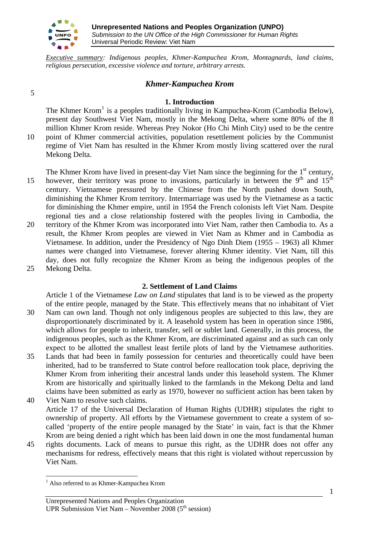

Mekong Delta.

*Executive summary: Indigenous peoples, Khmer-Kampuchea Krom, Montagnards, land claims, religious persecution, excessive violence and torture, arbitrary arrests.*

# *Khmer-Kampuchea Krom*

## **1. Introduction**

The Khmer Krom<sup>[1](#page-0-0)</sup> is a peoples traditionally living in Kampuchea-Krom (Cambodia Below), present day Southwest Viet Nam, mostly in the Mekong Delta, where some 80% of the 8 million Khmer Krom reside. Whereas Prey Nokor (Ho Chi Minh City) used to be the centre point of Khmer commercial activities, population resettlement policies by the Communist regime of Viet Nam has resulted in the Khmer Krom mostly living scattered over the rural

- 15 20 The Khmer Krom have lived in present-day Viet Nam since the beginning for the 1<sup>st</sup> century, however, their territory was prone to invasions, particularly in between the  $9<sup>th</sup>$  and  $15<sup>th</sup>$ century. Vietnamese pressured by the Chinese from the North pushed down South, diminishing the Khmer Krom territory. Intermarriage was used by the Vietnamese as a tactic for diminishing the Khmer empire, until in 1954 the French colonists left Viet Nam. Despite regional ties and a close relationship fostered with the peoples living in Cambodia, the territory of the Khmer Krom was incorporated into Viet Nam, rather then Cambodia to. As a result, the Khmer Krom peoples are viewed in Viet Nam as Khmer and in Cambodia as Vietnamese. In addition, under the Presidency of Ngo Dinh Diem (1955 – 1963) all Khmer names were changed into Vietnamese, forever altering Khmer identity. Viet Nam, till this day, does not fully recognize the Khmer Krom as being the indigenous peoples of the
- 25 Mekong Delta.

 $\overline{a}$ 

#### **2. Settlement of Land Claims**

30 Article 1 of the Vietnamese *Law on Land* stipulates that land is to be viewed as the property of the entire people, managed by the State. This effectively means that no inhabitant of Viet Nam can own land. Though not only indigenous peoples are subjected to this law, they are disproportionately discriminated by it. A leasehold system has been in operation since 1986, which allows for people to inherit, transfer, sell or sublet land. Generally, in this process, the indigenous peoples, such as the Khmer Krom, are discriminated against and as such can only expect to be allotted the smallest least fertile plots of land by the Vietnamese authorities.

- 35 40 Lands that had been in family possession for centuries and theoretically could have been inherited, had to be transferred to State control before reallocation took place, depriving the Khmer Krom from inheriting their ancestral lands under this leasehold system. The Khmer Krom are historically and spiritually linked to the farmlands in the Mekong Delta and land claims have been submitted as early as 1970, however no sufficient action has been taken by Viet Nam to resolve such claims.
- Article 17 of the Universal Declaration of Human Rights (UDHR) stipulates the right to ownership of property. All efforts by the Vietnamese government to create a system of socalled 'property of the entire people managed by the State' in vain, fact is that the Khmer Krom are being denied a right which has been laid down in one the most fundamental human
- 45 rights documents. Lack of means to pursue this right, as the UDHR does not offer any mechanisms for redress, effectively means that this right is violated without repercussion by Viet Nam.

5

10

1

<span id="page-0-0"></span><sup>&</sup>lt;sup>1</sup> Also referred to as Khmer-Kampuchea Krom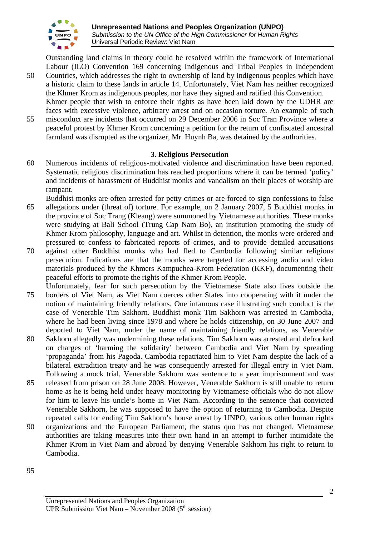

Outstanding land claims in theory could be resolved within the framework of International Labour (ILO) Convention 169 concerning Indigenous and Tribal Peoples in Independent Countries, which addresses the right to ownership of land by indigenous peoples which have

- 50 a historic claim to these lands in article 14. Unfortunately, Viet Nam has neither recognized the Khmer Krom as indigenous peoples, nor have they signed and ratified this Convention. Khmer people that wish to enforce their rights as have been laid down by the UDHR are faces with excessive violence, arbitrary arrest and on occasion torture. An example of such
- 55 misconduct are incidents that occurred on 29 December 2006 in Soc Tran Province where a peaceful protest by Khmer Krom concerning a petition for the return of confiscated ancestral farmland was disrupted as the organizer, Mr. Huynh Ba, was detained by the authorities.

# **3. Religious Persecution**

- 60 Numerous incidents of religious-motivated violence and discrimination have been reported. Systematic religious discrimination has reached proportions where it can be termed 'policy' and incidents of harassment of Buddhist monks and vandalism on their places of worship are rampant.
- 65 Buddhist monks are often arrested for petty crimes or are forced to sign confessions to false allegations under (threat of) torture. For example, on 2 January 2007, 5 Buddhist monks in the province of Soc Trang (Kleang) were summoned by Vietnamese authorities. These monks were studying at Bali School (Trung Cap Nam Bo), an institution promoting the study of Khmer Krom philosophy, language and art. Whilst in detention, the monks were ordered and pressured to confess to fabricated reports of crimes, and to provide detailed accusations
- 70 against other Buddhist monks who had fled to Cambodia following similar religious persecution. Indications are that the monks were targeted for accessing audio and video materials produced by the Khmers Kampuchea-Krom Federation (KKF), documenting their peaceful efforts to promote the rights of the Khmer Krom People.
- 75 Unfortunately, fear for such persecution by the Vietnamese State also lives outside the borders of Viet Nam, as Viet Nam coerces other States into cooperating with it under the notion of maintaining friendly relations. One infamous case illustrating such conduct is the case of Venerable Tim Sakhorn. Buddhist monk Tim Sakhorn was arrested in Cambodia, where he had been living since 1978 and where he holds citizenship, on 30 June 2007 and deported to Viet Nam, under the name of maintaining friendly relations, as Venerable
- 80 Sakhorn allegedly was undermining these relations. Tim Sakhorn was arrested and defrocked on charges of 'harming the solidarity' between Cambodia and Viet Nam by spreading 'propaganda' from his Pagoda. Cambodia repatriated him to Viet Nam despite the lack of a bilateral extradition treaty and he was consequently arrested for illegal entry in Viet Nam. Following a mock trial, Venerable Sakhorn was sentence to a year imprisonment and was
- 85 released from prison on 28 June 2008. However, Venerable Sakhorn is still unable to return home as he is being held under heavy monitoring by Vietnamese officials who do not allow for him to leave his uncle's home in Viet Nam. According to the sentence that convicted Venerable Sakhorn, he was supposed to have the option of returning to Cambodia. Despite repeated calls for ending Tim Sakhorn's house arrest by UNPO, various other human rights
- 90 organizations and the European Parliament, the status quo has not changed. Vietnamese authorities are taking measures into their own hand in an attempt to further intimidate the Khmer Krom in Viet Nam and abroad by denying Venerable Sakhorn his right to return to Cambodia.
- 95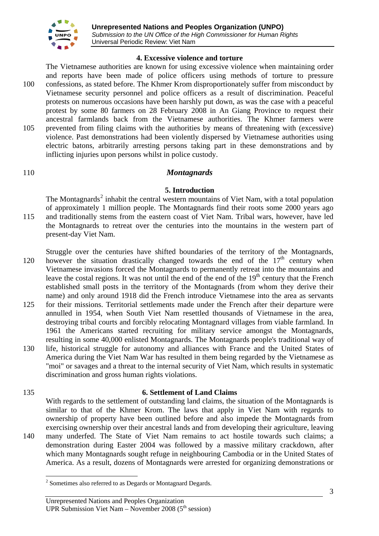

### **4. Excessive violence and torture**

100 105 The Vietnamese authorities are known for using excessive violence when maintaining order and reports have been made of police officers using methods of torture to pressure confessions, as stated before. The Khmer Krom disproportionately suffer from misconduct by Vietnamese security personnel and police officers as a result of discrimination. Peaceful protests on numerous occasions have been harshly put down, as was the case with a peaceful protest by some 80 farmers on 28 February 2008 in An Giang Province to request their ancestral farmlands back from the Vietnamese authorities. The Khmer farmers were prevented from filing claims with the authorities by means of threatening with (excessive) violence. Past demonstrations had been violently dispersed by Vietnamese authorities using electric batons, arbitrarily arresting persons taking part in these demonstrations and by inflicting injuries upon persons whilst in police custody.

#### 110 *Montagnards*

### **5. Introduction**

115 The Montagnards<sup>[2](#page-2-0)</sup> inhabit the central western mountains of Viet Nam, with a total population of approximately 1 million people. The Montagnards find their roots some 2000 years ago and traditionally stems from the eastern coast of Viet Nam. Tribal wars, however, have led the Montagnards to retreat over the centuries into the mountains in the western part of present-day Viet Nam.

120 Struggle over the centuries have shifted boundaries of the territory of the Montagnards, however the situation drastically changed towards the end of the  $17<sup>th</sup>$  century when Vietnamese invasions forced the Montagnards to permanently retreat into the mountains and leave the costal regions. It was not until the end of the end of the  $19<sup>th</sup>$  century that the French established small posts in the territory of the Montagnards (from whom they derive their name) and only around 1918 did the French introduce Vietnamese into the area as servants

- 125 for their missions. Territorial settlements made under the French after their departure were annulled in 1954, when South Viet Nam resettled thousands of Vietnamese in the area, destroying tribal courts and forcibly relocating Montagnard villages from viable farmland. In 1961 the Americans started recruiting for military service amongst the Montagnards, resulting in some 40,000 enlisted Montagnards. The Montagnards people's traditional way of
- 130 life, historical struggle for autonomy and alliances with France and the United States of America during the Viet Nam War has resulted in them being regarded by the Vietnamese as "moi" or savages and a threat to the internal security of Viet Nam, which results in systematic discrimination and gross human rights violations.

#### 135

 $\overline{a}$ 

# **6. Settlement of Land Claims**

140 With regards to the settlement of outstanding land claims, the situation of the Montagnards is similar to that of the Khmer Krom. The laws that apply in Viet Nam with regards to ownership of property have been outlined before and also impede the Montagnards from exercising ownership over their ancestral lands and from developing their agriculture, leaving many underfed. The State of Viet Nam remains to act hostile towards such claims; a demonstration during Easter 2004 was followed by a massive military crackdown, after which many Montagnards sought refuge in neighbouring Cambodia or in the United States of America. As a result, dozens of Montagnards were arrested for organizing demonstrations or

<span id="page-2-0"></span> $2$  Sometimes also referred to as Degards or Montagnard Degards.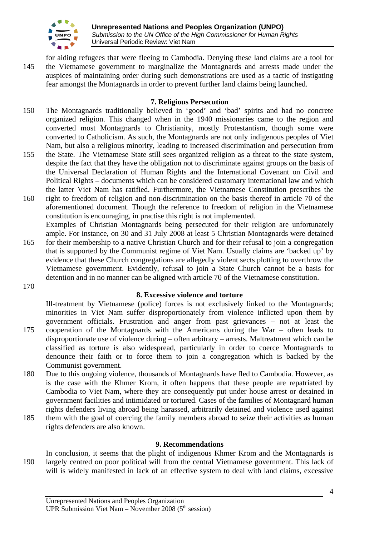

145 for aiding refugees that were fleeing to Cambodia. Denying these land claims are a tool for the Vietnamese government to marginalize the Montagnards and arrests made under the auspices of maintaining order during such demonstrations are used as a tactic of instigating fear amongst the Montagnards in order to prevent further land claims being launched.

# **7. Religious Persecution**

- 150 The Montagnards traditionally believed in 'good' and 'bad' spirits and had no concrete organized religion. This changed when in the 1940 missionaries came to the region and converted most Montagnards to Christianity, mostly Protestantism, though some were converted to Catholicism. As such, the Montagnards are not only indigenous peoples of Viet Nam, but also a religious minority, leading to increased discrimination and persecution from
- 155 the State. The Vietnamese State still sees organized religion as a threat to the state system, despite the fact that they have the obligation not to discriminate against groups on the basis of the Universal Declaration of Human Rights and the International Covenant on Civil and Political Rights – documents which can be considered customary international law and which the latter Viet Nam has ratified. Furthermore, the Vietnamese Constitution prescribes the
- 160 right to freedom of religion and non-discrimination on the basis thereof in article 70 of the aforementioned document. Though the reference to freedom of religion in the Vietnamese constitution is encouraging, in practise this right is not implemented. Examples of Christian Montagnards being persecuted for their religion are unfortunately
- 165 ample. For instance, on 30 and 31 July 2008 at least 5 Christian Montagnards were detained for their membership to a native Christian Church and for their refusal to join a congregation that is supported by the Communist regime of Viet Nam. Usually claims are 'backed up' by evidence that these Church congregations are allegedly violent sects plotting to overthrow the Vietnamese government. Evidently, refusal to join a State Church cannot be a basis for detention and in no manner can be aligned with article 70 of the Vietnamese constitution.
- 170

175

# **8. Excessive violence and torture**

Ill-treatment by Vietnamese (police) forces is not exclusively linked to the Montagnards; minorities in Viet Nam suffer disproportionately from violence inflicted upon them by government officials. Frustration and anger from past grievances – not at least the cooperation of the Montagnards with the Americans during the War – often leads to

- disproportionate use of violence during often arbitrary arrests. Maltreatment which can be classified as torture is also widespread, particularly in order to coerce Montagnards to denounce their faith or to force them to join a congregation which is backed by the Communist government.
- 180 Due to this ongoing violence, thousands of Montagnards have fled to Cambodia. However, as is the case with the Khmer Krom, it often happens that these people are repatriated by Cambodia to Viet Nam, where they are consequently put under house arrest or detained in government facilities and intimidated or tortured. Cases of the families of Montagnard human rights defenders living abroad being harassed, arbitrarily detained and violence used against
- 185 them with the goal of coercing the family members abroad to seize their activities as human rights defenders are also known.

# **9. Recommendations**

190 In conclusion, it seems that the plight of indigenous Khmer Krom and the Montagnards is largely centred on poor political will from the central Vietnamese government. This lack of will is widely manifested in lack of an effective system to deal with land claims, excessive